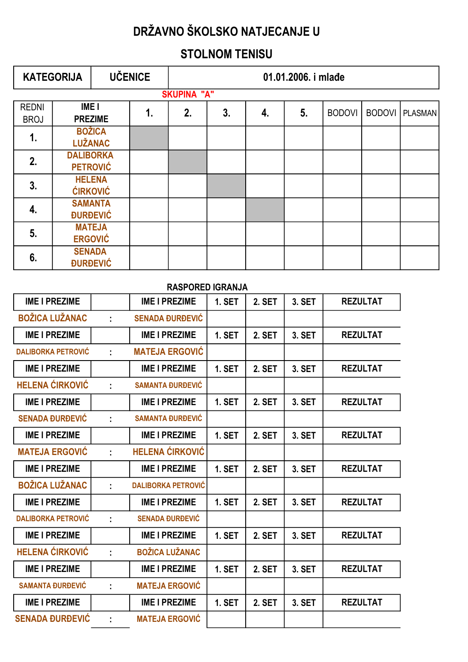## STOLNOM TENISU

|                             | <b>KATEGORIJA</b>                   |                                   | <b>UČENICE</b> | 01.01.2006. i mlađe |    |    |    |               |               |                |
|-----------------------------|-------------------------------------|-----------------------------------|----------------|---------------------|----|----|----|---------------|---------------|----------------|
|                             |                                     |                                   |                | <b>SKUPINA "A"</b>  |    |    |    |               |               |                |
| <b>REDNI</b><br><b>BROJ</b> | <b>IMEI</b>                         | <b>PREZIME</b>                    | 1.             | 2.                  | 3. | 4. | 5. | <b>BODOVI</b> | <b>BODOVI</b> | <b>PLASMAN</b> |
| $\mathbf{1}$ .              |                                     | <b>BOŽICA</b><br><b>LUŽANAC</b>   |                |                     |    |    |    |               |               |                |
| 2.                          | <b>DALIBORKA</b><br><b>PETROVIĆ</b> |                                   |                |                     |    |    |    |               |               |                |
| 3.                          |                                     | <b>HELENA</b><br><b>ĆIRKOVIĆ</b>  |                |                     |    |    |    |               |               |                |
| 4.                          |                                     | <b>SAMANTA</b><br><b>ĐURĐEVIĆ</b> |                |                     |    |    |    |               |               |                |
| 5.                          |                                     | <b>MATEJA</b><br><b>ERGOVIĆ</b>   |                |                     |    |    |    |               |               |                |
| 6.                          | <b>SENADA</b>                       | <b><i><u>DURDEVIĆ</u></i></b>     |                |                     |    |    |    |               |               |                |

| <b>RASPORED IGRANJA</b>   |    |                           |               |               |        |                 |  |  |  |  |
|---------------------------|----|---------------------------|---------------|---------------|--------|-----------------|--|--|--|--|
| <b>IME I PREZIME</b>      |    | <b>IME I PREZIME</b>      | <b>1. SET</b> | 2. SET        | 3. SET | <b>REZULTAT</b> |  |  |  |  |
| <b>BOŽICA LUŽANAC</b>     | ř. | <b>SENADA ĐURĐEVIĆ</b>    |               |               |        |                 |  |  |  |  |
| <b>IME I PREZIME</b>      |    | <b>IME I PREZIME</b>      | <b>1. SET</b> | <b>2. SET</b> | 3. SET | <b>REZULTAT</b> |  |  |  |  |
| <b>DALIBORKA PETROVIĆ</b> | ÷  | <b>MATEJA ERGOVIĆ</b>     |               |               |        |                 |  |  |  |  |
| <b>IME I PREZIME</b>      |    | <b>IME I PREZIME</b>      | <b>1. SET</b> | 2. SET        | 3. SET | <b>REZULTAT</b> |  |  |  |  |
| <b>HELENA ĆIRKOVIĆ</b>    | ÷  | <b>SAMANTA ĐURĐEVIĆ</b>   |               |               |        |                 |  |  |  |  |
| <b>IME I PREZIME</b>      |    | <b>IME I PREZIME</b>      | <b>1. SET</b> | 2. SET        | 3. SET | <b>REZULTAT</b> |  |  |  |  |
| <b>SENADA ĐURĐEVIĆ</b>    | ÷  | <b>SAMANTA ĐURĐEVIĆ</b>   |               |               |        |                 |  |  |  |  |
| <b>IME I PREZIME</b>      |    | <b>IME I PREZIME</b>      | <b>1. SET</b> | 2. SET        | 3. SET | <b>REZULTAT</b> |  |  |  |  |
| <b>MATEJA ERGOVIĆ</b>     | t. | <b>HELENA ĆIRKOVIĆ</b>    |               |               |        |                 |  |  |  |  |
| <b>IME I PREZIME</b>      |    | <b>IME I PREZIME</b>      | 1. SET        | 2. SET        | 3. SET | <b>REZULTAT</b> |  |  |  |  |
| <b>BOŽICA LUŽANAC</b>     | ÷  | <b>DALIBORKA PETROVIĆ</b> |               |               |        |                 |  |  |  |  |
| <b>IME I PREZIME</b>      |    | <b>IME I PREZIME</b>      | <b>1. SET</b> | 2. SET        | 3. SET | <b>REZULTAT</b> |  |  |  |  |
| <b>DALIBORKA PETROVIĆ</b> | ÷  | <b>SENADA ĐURĐEVIĆ</b>    |               |               |        |                 |  |  |  |  |
| <b>IME I PREZIME</b>      |    | <b>IME I PREZIME</b>      | 1. SET        | 2. SET        | 3. SET | <b>REZULTAT</b> |  |  |  |  |
| <b>HELENA ĆIRKOVIĆ</b>    | ř. | <b>BOŽICA LUŽANAC</b>     |               |               |        |                 |  |  |  |  |
| <b>IME I PREZIME</b>      |    | <b>IME I PREZIME</b>      | 1. SET        | 2. SET        | 3. SET | <b>REZULTAT</b> |  |  |  |  |
| <b>SAMANTA ĐURĐEVIĆ</b>   | ÷  | <b>MATEJA ERGOVIĆ</b>     |               |               |        |                 |  |  |  |  |
| <b>IME I PREZIME</b>      |    | <b>IME I PREZIME</b>      | <b>1. SET</b> | 2. SET        | 3. SET | <b>REZULTAT</b> |  |  |  |  |
| <b>SENADA ĐURĐEVIĆ</b>    | ŧ. | <b>MATEJA ERGOVIĆ</b>     |               |               |        |                 |  |  |  |  |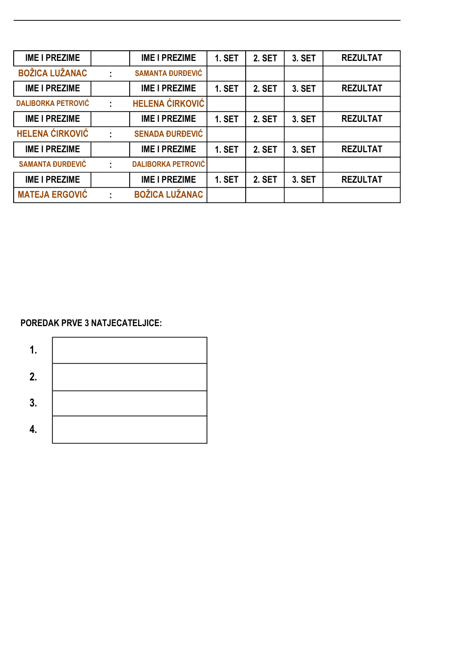| <b>IME I PREZIME</b>      |   | <b>IME I PREZIME</b>      | <b>1. SET</b> | <b>2. SET</b> | 3. SET | <b>REZULTAT</b> |
|---------------------------|---|---------------------------|---------------|---------------|--------|-----------------|
| <b>BOŽICA LUŽANAC</b>     | ÷ | <b>SAMANTA ĐURĐEVIĆ</b>   |               |               |        |                 |
| <b>IME I PREZIME</b>      |   | <b>IME I PREZIME</b>      | <b>1. SET</b> | <b>2. SET</b> | 3. SET | <b>REZULTAT</b> |
| <b>DALIBORKA PETROVIĆ</b> |   | <b>HELENA ĆIRKOVIĆ</b>    |               |               |        |                 |
| <b>IME I PREZIME</b>      |   | <b>IME I PREZIME</b>      | <b>1. SET</b> | <b>2. SET</b> | 3. SET | <b>REZULTAT</b> |
| <b>HELENA ĆIRKOVIĆ</b>    |   | <b>SENADA ĐURĐEVIĆ</b>    |               |               |        |                 |
| <b>IME I PREZIME</b>      |   | <b>IME I PREZIME</b>      | <b>1. SET</b> | <b>2. SET</b> | 3. SET | <b>REZULTAT</b> |
| <b>SAMANTA ĐURĐEVIĆ</b>   | ÷ | <b>DALIBORKA PETROVIĆ</b> |               |               |        |                 |
| <b>IME I PREZIME</b>      |   | <b>IME I PREZIME</b>      | <b>1. SET</b> | <b>2. SET</b> | 3. SET | <b>REZULTAT</b> |
| <b>MATEJA ERGOVIĆ</b>     | ÷ | <b>BOŽICA LUŽANAC</b>     |               |               |        |                 |

### POREDAK PRVE 3 NATJECATELJICE:

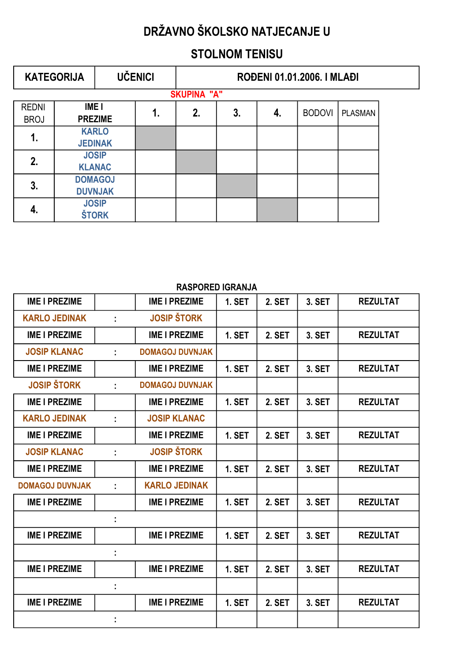## STOLNOM TENISU

|              | <b>KATEGORIJA</b>  |                | <b>UČENICI</b> | ROĐENI 01.01.2006. I MLAĐI |    |    |               |                |  |  |  |
|--------------|--------------------|----------------|----------------|----------------------------|----|----|---------------|----------------|--|--|--|
|              | <b>SKUPINA "A"</b> |                |                |                            |    |    |               |                |  |  |  |
| <b>REDNI</b> | <b>IMEI</b>        |                |                | 2.                         | 3. | 4. | <b>BODOVI</b> | <b>PLASMAN</b> |  |  |  |
| <b>BROJ</b>  |                    | <b>PREZIME</b> |                | 1.                         |    |    |               |                |  |  |  |
| 1.           | <b>KARLO</b>       |                |                |                            |    |    |               |                |  |  |  |
|              |                    | <b>JEDINAK</b> |                |                            |    |    |               |                |  |  |  |
| 2.           |                    | <b>JOSIP</b>   |                |                            |    |    |               |                |  |  |  |
|              |                    | <b>KLANAC</b>  |                |                            |    |    |               |                |  |  |  |
| 3.           |                    | <b>DOMAGOJ</b> |                |                            |    |    |               |                |  |  |  |
|              | <b>DUVNJAK</b>     |                |                |                            |    |    |               |                |  |  |  |
|              |                    | <b>JOSIP</b>   |                |                            |    |    |               |                |  |  |  |
| 4.           |                    | <b>ŠTORK</b>   |                |                            |    |    |               |                |  |  |  |

|                        |   | השוראושו שאטר שונא     |               |               |        |                 |
|------------------------|---|------------------------|---------------|---------------|--------|-----------------|
| <b>IME I PREZIME</b>   |   | <b>IME I PREZIME</b>   | <b>1. SET</b> | 2. SET        | 3. SET | <b>REZULTAT</b> |
| <b>KARLO JEDINAK</b>   | ÷ | <b>JOSIP ŠTORK</b>     |               |               |        |                 |
| <b>IME I PREZIME</b>   |   | <b>IME I PREZIME</b>   | <b>1. SET</b> | <b>2. SET</b> | 3. SET | <b>REZULTAT</b> |
| <b>JOSIP KLANAC</b>    |   | <b>DOMAGOJ DUVNJAK</b> |               |               |        |                 |
| <b>IME I PREZIME</b>   |   | <b>IME I PREZIME</b>   | <b>1. SET</b> | 2. SET        | 3. SET | <b>REZULTAT</b> |
| <b>JOSIP ŠTORK</b>     |   | <b>DOMAGOJ DUVNJAK</b> |               |               |        |                 |
| <b>IME I PREZIME</b>   |   | <b>IME I PREZIME</b>   | <b>1. SET</b> | <b>2. SET</b> | 3. SET | <b>REZULTAT</b> |
| <b>KARLO JEDINAK</b>   | ÷ | <b>JOSIP KLANAC</b>    |               |               |        |                 |
| <b>IME I PREZIME</b>   |   | <b>IME I PREZIME</b>   | <b>1. SET</b> | 2. SET        | 3. SET | <b>REZULTAT</b> |
| <b>JOSIP KLANAC</b>    | ÷ | <b>JOSIP ŠTORK</b>     |               |               |        |                 |
| <b>IME I PREZIME</b>   |   | <b>IME I PREZIME</b>   | 1. SET        | <b>2. SET</b> | 3. SET | <b>REZULTAT</b> |
| <b>DOMAGOJ DUVNJAK</b> | ÷ | <b>KARLO JEDINAK</b>   |               |               |        |                 |
| <b>IME I PREZIME</b>   |   | <b>IME I PREZIME</b>   | <b>1. SET</b> | <b>2. SET</b> | 3. SET | <b>REZULTAT</b> |
|                        |   |                        |               |               |        |                 |
| <b>IME I PREZIME</b>   |   | <b>IME I PREZIME</b>   | <b>1. SET</b> | 2. SET        | 3. SET | <b>REZULTAT</b> |
|                        | ÷ |                        |               |               |        |                 |
| <b>IME I PREZIME</b>   |   | <b>IME I PREZIME</b>   | <b>1. SET</b> | <b>2. SET</b> | 3. SET | <b>REZULTAT</b> |
|                        | ÷ |                        |               |               |        |                 |
| <b>IME I PREZIME</b>   |   | <b>IME I PREZIME</b>   | <b>1. SET</b> | 2. SET        | 3. SET | <b>REZULTAT</b> |
|                        |   |                        |               |               |        |                 |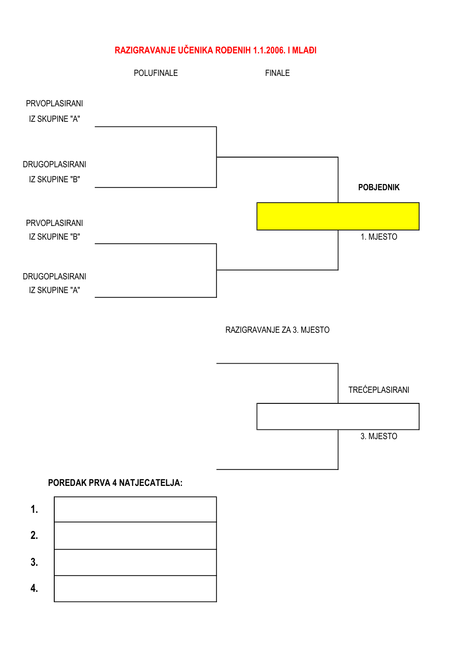### RAZIGRAVANJE UČENIKA ROĐENIH 1.1.2006. I MLAĐI

|                                         | <b>POLUFINALE</b> | <b>FINALE</b> |                  |
|-----------------------------------------|-------------------|---------------|------------------|
| <b>PRVOPLASIRANI</b><br>IZ SKUPINE "A"  |                   |               |                  |
| DRUGOPLASIRANI<br>IZ SKUPINE "B"        |                   |               | <b>POBJEDNIK</b> |
| <b>PRVOPLASIRANI</b><br>IZ SKUPINE "B"  |                   |               | 1. MJESTO        |
| <b>DRUGOPLASIRANI</b><br>IZ SKUPINE "A" |                   |               |                  |

RAZIGRAVANJE ZA 3. MJESTO



### POREDAK PRVA 4 NATJECATELJA:

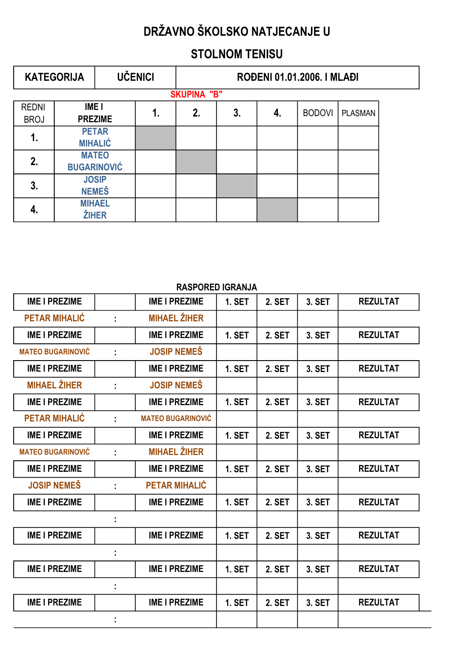## STOLNOM TENISU

|              | <b>KATEGORIJA</b>              |                    | <b>UČENICI</b> | ROĐENI 01.01.2006. I MLAĐI |    |    |               |                |  |  |  |  |
|--------------|--------------------------------|--------------------|----------------|----------------------------|----|----|---------------|----------------|--|--|--|--|
|              | <b>SKUPINA "B"</b>             |                    |                |                            |    |    |               |                |  |  |  |  |
| <b>REDNI</b> | IME <sub>I</sub>               |                    |                | 2.                         | 3. | 4. | <b>BODOVI</b> | <b>PLASMAN</b> |  |  |  |  |
| <b>BROJ</b>  |                                | <b>PREZIME</b>     |                |                            |    |    |               |                |  |  |  |  |
| 1.           | <b>PETAR</b><br><b>MIHALIĆ</b> |                    |                |                            |    |    |               |                |  |  |  |  |
|              |                                |                    |                |                            |    |    |               |                |  |  |  |  |
| 2.           |                                | <b>MATEO</b>       |                |                            |    |    |               |                |  |  |  |  |
|              |                                | <b>BUGARINOVIĆ</b> |                |                            |    |    |               |                |  |  |  |  |
| 3.           |                                | <b>JOSIP</b>       |                |                            |    |    |               |                |  |  |  |  |
|              | <b>NEMEŠ</b>                   |                    |                |                            |    |    |               |                |  |  |  |  |
|              |                                | <b>MIHAEL</b>      |                |                            |    |    |               |                |  |  |  |  |
| 4.           |                                | <b>ŽIHER</b>       |                |                            |    |    |               |                |  |  |  |  |

|                          |   | KAJFUKEU IUKAINJA        |               |               |        |                 |
|--------------------------|---|--------------------------|---------------|---------------|--------|-----------------|
| <b>IME I PREZIME</b>     |   | <b>IME I PREZIME</b>     | <b>1. SET</b> | <b>2. SET</b> | 3. SET | <b>REZULTAT</b> |
| <b>PETAR MIHALIĆ</b>     | ÷ | <b>MIHAEL ŽIHER</b>      |               |               |        |                 |
| <b>IME I PREZIME</b>     |   | <b>IME I PREZIME</b>     | <b>1. SET</b> | <b>2. SET</b> | 3. SET | <b>REZULTAT</b> |
| <b>MATEO BUGARINOVIĆ</b> |   | <b>JOSIP NEMEŠ</b>       |               |               |        |                 |
| <b>IME I PREZIME</b>     |   | <b>IME I PREZIME</b>     | 1. SET        | 2. SET        | 3. SET | <b>REZULTAT</b> |
| <b>MIHAEL ŽIHER</b>      |   | <b>JOSIP NEMEŠ</b>       |               |               |        |                 |
| <b>IME I PREZIME</b>     |   | <b>IME I PREZIME</b>     | <b>1. SET</b> | 2. SET        | 3. SET | <b>REZULTAT</b> |
| <b>PETAR MIHALIĆ</b>     | ÷ | <b>MATEO BUGARINOVIC</b> |               |               |        |                 |
| <b>IME I PREZIME</b>     |   | <b>IME I PREZIME</b>     | 1. SET        | 2. SET        | 3. SET | <b>REZULTAT</b> |
| <b>MATEO BUGARINOVIĆ</b> | ÷ | <b>MIHAEL ŽIHER</b>      |               |               |        |                 |
| <b>IME I PREZIME</b>     |   | <b>IME I PREZIME</b>     | <b>1. SET</b> | 2. SET        | 3. SET | <b>REZULTAT</b> |
| <b>JOSIP NEMEŠ</b>       |   | <b>PETAR MIHALIĆ</b>     |               |               |        |                 |
| <b>IME I PREZIME</b>     |   | <b>IME I PREZIME</b>     | <b>1. SET</b> | 2. SET        | 3. SET | <b>REZULTAT</b> |
|                          |   |                          |               |               |        |                 |
| <b>IME I PREZIME</b>     |   | <b>IME I PREZIME</b>     | 1. SET        | 2. SET        | 3. SET | <b>REZULTAT</b> |
|                          |   |                          |               |               |        |                 |
| <b>IME I PREZIME</b>     |   | <b>IME I PREZIME</b>     | <b>1. SET</b> | 2. SET        | 3. SET | <b>REZULTAT</b> |
|                          |   |                          |               |               |        |                 |
| <b>IME I PREZIME</b>     |   | <b>IME I PREZIME</b>     | <b>1. SET</b> | 2. SET        | 3. SET | <b>REZULTAT</b> |
|                          |   |                          |               |               |        |                 |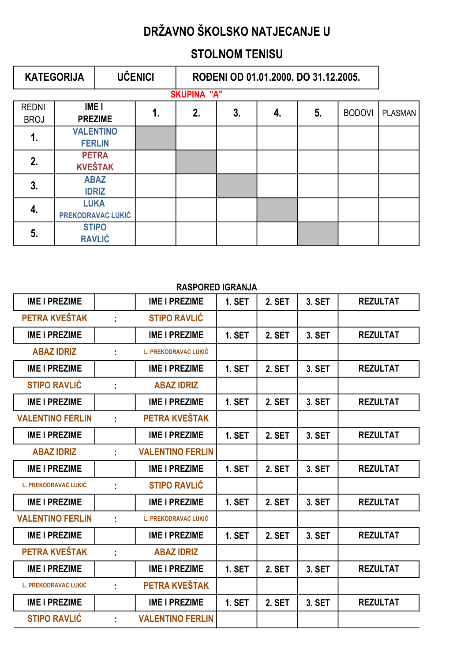## STOLNOM TENISU

|                             | <b>KATEGORIJA</b>              |                                   | <b>UČENICI</b> | ROĐENI OD 01.01.2000. DO 31.12.2005. |    |    |    |               |                |
|-----------------------------|--------------------------------|-----------------------------------|----------------|--------------------------------------|----|----|----|---------------|----------------|
|                             |                                |                                   |                | <b>SKUPINA "A"</b>                   |    |    |    |               |                |
| <b>REDNI</b><br><b>BROJ</b> | <b>IME</b> I<br><b>PREZIME</b> |                                   | 1.             | 2.                                   | 3. | 4. | 5. | <b>BODOVI</b> | <b>PLASMAN</b> |
| 1.                          |                                | <b>VALENTINO</b><br><b>FERLIN</b> |                |                                      |    |    |    |               |                |
| 2.                          | <b>PETRA</b><br><b>KVEŠTAK</b> |                                   |                |                                      |    |    |    |               |                |
| 3.                          |                                | <b>ABAZ</b><br><b>IDRIZ</b>       |                |                                      |    |    |    |               |                |
| 4.                          | <b>LUKA</b>                    | PREKODRAVAC LUKIĆ                 |                |                                      |    |    |    |               |                |
| 5.                          |                                | <b>STIPO</b><br><b>RAVLIĆ</b>     |                |                                      |    |    |    |               |                |

| <b>IME I PREZIME</b>        |    | <b>IME I PREZIME</b>        | <b>1. SET</b> | 2. SET        | 3. SET | <b>REZULTAT</b> |
|-----------------------------|----|-----------------------------|---------------|---------------|--------|-----------------|
| PETRA KVEŠTAK               |    | <b>STIPO RAVLIĆ</b>         |               |               |        |                 |
| <b>IME I PREZIME</b>        |    | <b>IME I PREZIME</b>        | <b>1. SET</b> | 2. SET        | 3. SET | <b>REZULTAT</b> |
| <b>ABAZ IDRIZ</b>           | ÷  | <b>L. PREKODRAVAC LUKIĆ</b> |               |               |        |                 |
| <b>IME I PREZIME</b>        |    | <b>IME I PREZIME</b>        | <b>1. SET</b> | 2. SET        | 3. SET | <b>REZULTAT</b> |
| <b>STIPO RAVLIC</b>         | ÷. | <b>ABAZ IDRIZ</b>           |               |               |        |                 |
| <b>IME I PREZIME</b>        |    | <b>IME I PREZIME</b>        | <b>1. SET</b> | <b>2. SET</b> | 3. SET | <b>REZULTAT</b> |
| <b>VALENTINO FERLIN</b>     | ÷  | PETRA KVEŠTAK               |               |               |        |                 |
| <b>IME I PREZIME</b>        |    | <b>IME I PREZIME</b>        | <b>1. SET</b> | 2. SET        | 3. SET | <b>REZULTAT</b> |
| <b>ABAZ IDRIZ</b>           |    | <b>VALENTINO FERLIN</b>     |               |               |        |                 |
| <b>IME I PREZIME</b>        |    | <b>IME I PREZIME</b>        | <b>1. SET</b> | <b>2. SET</b> | 3. SET | <b>REZULTAT</b> |
| <b>L. PREKODRAVAC LUKIĆ</b> |    | <b>STIPO RAVLIĆ</b>         |               |               |        |                 |
| <b>IME I PREZIME</b>        |    | <b>IME I PREZIME</b>        | <b>1. SET</b> | <b>2. SET</b> | 3. SET | <b>REZULTAT</b> |
| <b>VALENTINO FERLIN</b>     | ÷. | <b>L. PREKODRAVAC LUKIĆ</b> |               |               |        |                 |
| <b>IME I PREZIME</b>        |    | <b>IME I PREZIME</b>        | <b>1. SET</b> | <b>2. SET</b> | 3. SET | <b>REZULTAT</b> |
| PETRA KVEŠTAK               |    | <b>ABAZ IDRIZ</b>           |               |               |        |                 |
| <b>IME I PREZIME</b>        |    | <b>IME I PREZIME</b>        | <b>1. SET</b> | <b>2. SET</b> | 3. SET | <b>REZULTAT</b> |
| <b>L. PREKODRAVAC LUKIĆ</b> | t. | PETRA KVEŠTAK               |               |               |        |                 |
| <b>IME I PREZIME</b>        |    | <b>IME I PREZIME</b>        | <b>1. SET</b> | <b>2. SET</b> | 3. SET | <b>REZULTAT</b> |
| <b>STIPO RAVLIĆ</b>         |    | <b>VALENTINO FERLIN</b>     |               |               |        |                 |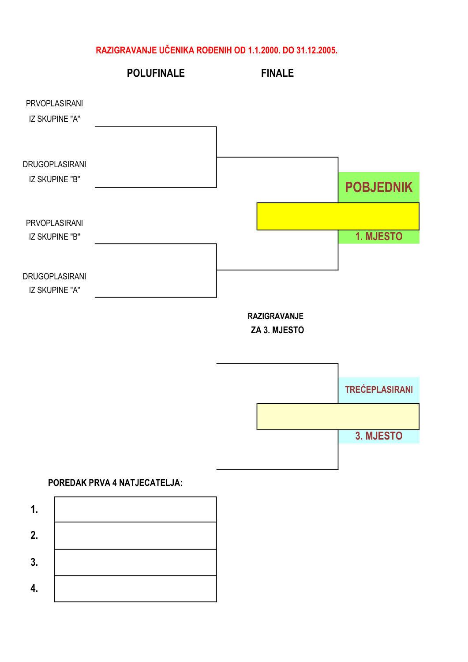#### RAZIGRAVANJE UČENIKA ROĐENIH OD 1.1.2000. DO 31.12.2005.



### POREDAK PRVA 4 NATJECATELJA: